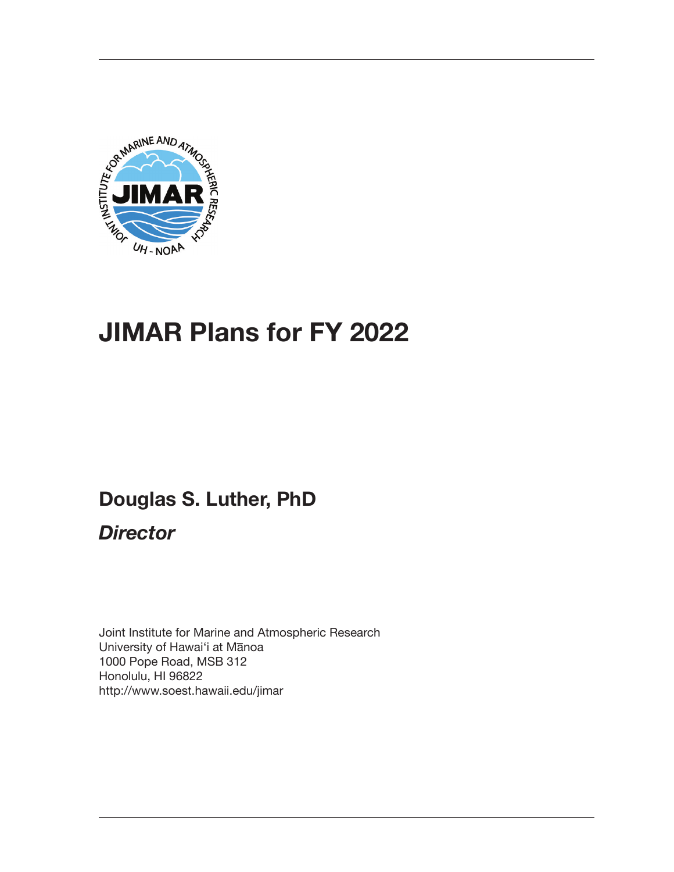

# **JIMAR Plans for FY 2022**

# **Douglas S. Luther, PhD**

*Director*

Joint Institute for Marine and Atmospheric Research University of Hawai'i at Manoa 1000 Pope Road, MSB 312 Honolulu, HI 96822 http://www.soest.hawaii.edu/jimar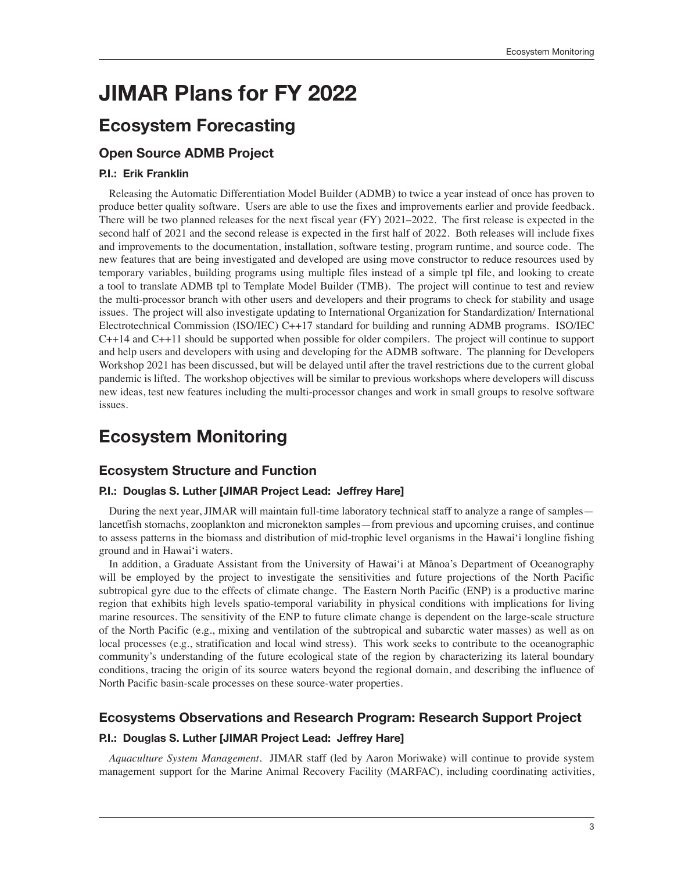# **JIMAR Plans for FY 2022**

## **Ecosystem Forecasting**

## **Open Source ADMB Project**

#### **P.I.: Erik Franklin**

Releasing the Automatic Differentiation Model Builder (ADMB) to twice a year instead of once has proven to produce better quality software. Users are able to use the fixes and improvements earlier and provide feedback. There will be two planned releases for the next fiscal year (FY) 2021–2022. The first release is expected in the second half of 2021 and the second release is expected in the first half of 2022. Both releases will include fixes and improvements to the documentation, installation, software testing, program runtime, and source code. The new features that are being investigated and developed are using move constructor to reduce resources used by temporary variables, building programs using multiple files instead of a simple tpl file, and looking to create a tool to translate ADMB tpl to Template Model Builder (TMB). The project will continue to test and review the multi-processor branch with other users and developers and their programs to check for stability and usage issues. The project will also investigate updating to International Organization for Standardization/ International Electrotechnical Commission (ISO/IEC) C++17 standard for building and running ADMB programs. ISO/IEC C++14 and C++11 should be supported when possible for older compilers. The project will continue to support and help users and developers with using and developing for the ADMB software. The planning for Developers Workshop 2021 has been discussed, but will be delayed until after the travel restrictions due to the current global pandemic is lifted. The workshop objectives will be similar to previous workshops where developers will discuss new ideas, test new features including the multi-processor changes and work in small groups to resolve software issues.

## **Ecosystem Monitoring**

### **Ecosystem Structure and Function**

#### **P.I.: Douglas S. Luther [JIMAR Project Lead: Jeffrey Hare]**

During the next year, JIMAR will maintain full-time laboratory technical staff to analyze a range of samples lancetfish stomachs, zooplankton and micronekton samples—from previous and upcoming cruises, and continue to assess patterns in the biomass and distribution of mid-trophic level organisms in the Hawai'i longline fishing ground and in Hawai'i waters.

In addition, a Graduate Assistant from the University of Hawai'i at Mānoa's Department of Oceanography will be employed by the project to investigate the sensitivities and future projections of the North Pacific subtropical gyre due to the effects of climate change. The Eastern North Pacific (ENP) is a productive marine region that exhibits high levels spatio-temporal variability in physical conditions with implications for living marine resources. The sensitivity of the ENP to future climate change is dependent on the large-scale structure of the North Pacific (e.g., mixing and ventilation of the subtropical and subarctic water masses) as well as on local processes (e.g., stratification and local wind stress). This work seeks to contribute to the oceanographic community's understanding of the future ecological state of the region by characterizing its lateral boundary conditions, tracing the origin of its source waters beyond the regional domain, and describing the influence of North Pacific basin-scale processes on these source-water properties.

## **Ecosystems Observations and Research Program: Research Support Project**

#### **P.I.: Douglas S. Luther [JIMAR Project Lead: Jeffrey Hare]**

*Aquaculture System Management*. JIMAR staff (led by Aaron Moriwake) will continue to provide system management support for the Marine Animal Recovery Facility (MARFAC), including coordinating activities,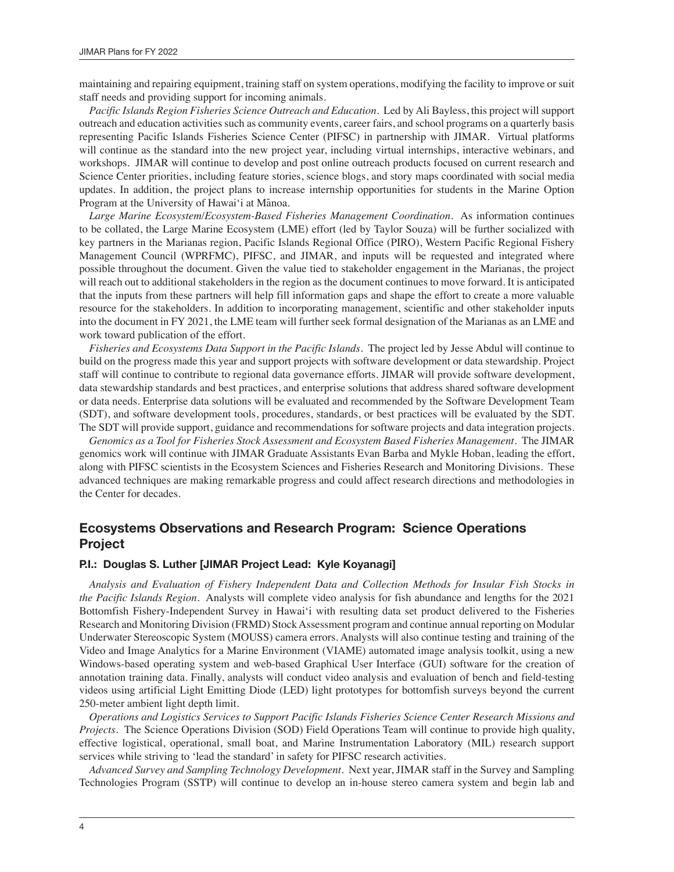maintaining and repairing equipment, training staff on system operations, modifying the facility to improve or suit staff needs and providing support for incoming animals.

*Pacific Islands Region Fisheries Science Outreach and Education*. Led by Ali Bayless, this project will support outreach and education activities such as community events, career fairs, and school programs on a quarterly basis representing Pacific Islands Fisheries Science Center (PIFSC) in partnership with JIMAR. Virtual platforms will continue as the standard into the new project year, including virtual internships, interactive webinars, and workshops. JIMAR will continue to develop and post online outreach products focused on current research and Science Center priorities, including feature stories, science blogs, and story maps coordinated with social media updates. In addition, the project plans to increase internship opportunities for students in the Marine Option Program at the University of Hawai'i at Mānoa.

*Large Marine Ecosystem/Ecosystem-Based Fisheries Management Coordination*. As information continues to be collated, the Large Marine Ecosystem (LME) effort (led by Taylor Souza) will be further socialized with key partners in the Marianas region, Pacific Islands Regional Office (PIRO), Western Pacific Regional Fishery Management Council (WPRFMC), PIFSC, and JIMAR, and inputs will be requested and integrated where possible throughout the document. Given the value tied to stakeholder engagement in the Marianas, the project will reach out to additional stakeholders in the region as the document continues to move forward. It is anticipated that the inputs from these partners will help fill information gaps and shape the effort to create a more valuable resource for the stakeholders. In addition to incorporating management, scientific and other stakeholder inputs into the document in FY 2021, the LME team will further seek formal designation of the Marianas as an LME and work toward publication of the effort.

*Fisheries and Ecosystems Data Support in the Pacific Islands*. The project led by Jesse Abdul will continue to build on the progress made this year and support projects with software development or data stewardship. Project staff will continue to contribute to regional data governance efforts. JIMAR will provide software development, data stewardship standards and best practices, and enterprise solutions that address shared software development or data needs. Enterprise data solutions will be evaluated and recommended by the Software Development Team (SDT), and software development tools, procedures, standards, or best practices will be evaluated by the SDT. The SDT will provide support, guidance and recommendations for software projects and data integration projects.

*Genomics as a Tool for Fisheries Stock Assessment and Ecosystem Based Fisheries Management*. The JIMAR genomics work will continue with JIMAR Graduate Assistants Evan Barba and Mykle Hoban, leading the effort, along with PIFSC scientists in the Ecosystem Sciences and Fisheries Research and Monitoring Divisions. These advanced techniques are making remarkable progress and could affect research directions and methodologies in the Center for decades.

## **Ecosystems Observations and Research Program: Science Operations Project**

#### **P.I.: Douglas S. Luther [JIMAR Project Lead: Kyle Koyanagi]**

*Analysis and Evaluation of Fishery Independent Data and Collection Methods for Insular Fish Stocks in the Pacific Islands Region*. Analysts will complete video analysis for fish abundance and lengths for the 2021 Bottomfish Fishery-Independent Survey in Hawai'i with resulting data set product delivered to the Fisheries Research and Monitoring Division (FRMD) Stock Assessment program and continue annual reporting on Modular Underwater Stereoscopic System (MOUSS) camera errors. Analysts will also continue testing and training of the Video and Image Analytics for a Marine Environment (VIAME) automated image analysis toolkit, using a new Windows-based operating system and web-based Graphical User Interface (GUI) software for the creation of annotation training data. Finally, analysts will conduct video analysis and evaluation of bench and field-testing videos using artificial Light Emitting Diode (LED) light prototypes for bottomfish surveys beyond the current 250-meter ambient light depth limit.

*Operations and Logistics Services to Support Pacific Islands Fisheries Science Center Research Missions and Projects.* The Science Operations Division (SOD) Field Operations Team will continue to provide high quality, effective logistical, operational, small boat, and Marine Instrumentation Laboratory (MIL) research support services while striving to 'lead the standard' in safety for PIFSC research activities.

*Advanced Survey and Sampling Technology Development*. Next year, JIMAR staff in the Survey and Sampling Technologies Program (SSTP) will continue to develop an in-house stereo camera system and begin lab and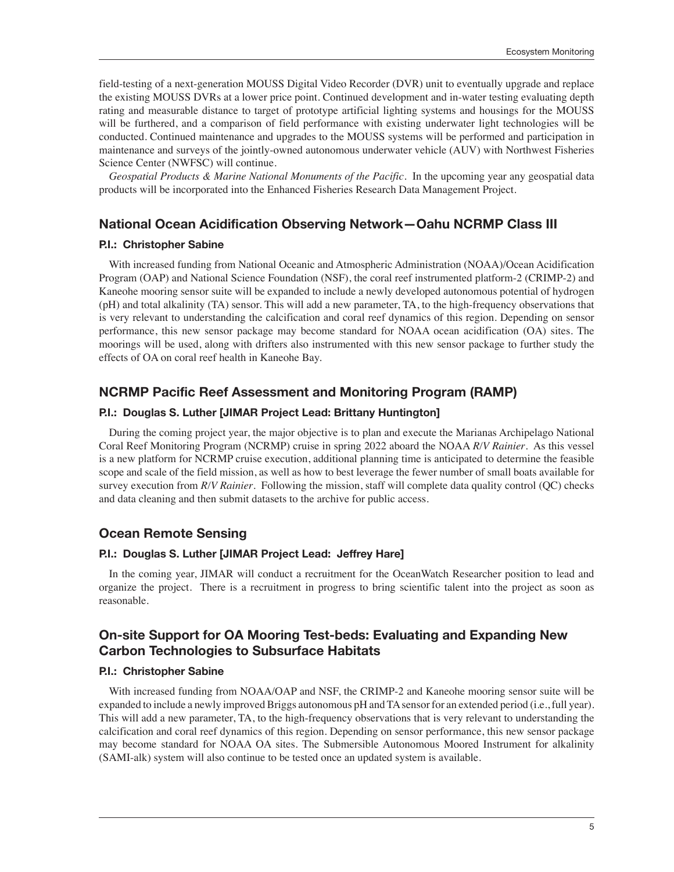field-testing of a next-generation MOUSS Digital Video Recorder (DVR) unit to eventually upgrade and replace the existing MOUSS DVRs at a lower price point. Continued development and in-water testing evaluating depth rating and measurable distance to target of prototype artificial lighting systems and housings for the MOUSS will be furthered, and a comparison of field performance with existing underwater light technologies will be conducted. Continued maintenance and upgrades to the MOUSS systems will be performed and participation in maintenance and surveys of the jointly-owned autonomous underwater vehicle (AUV) with Northwest Fisheries Science Center (NWFSC) will continue.

*Geospatial Products & Marine National Monuments of the Pacific.* In the upcoming year any geospatial data products will be incorporated into the Enhanced Fisheries Research Data Management Project.

## **National Ocean Acidification Observing Network—Oahu NCRMP Class III**

#### **P.I.: Christopher Sabine**

With increased funding from National Oceanic and Atmospheric Administration (NOAA)/Ocean Acidification Program (OAP) and National Science Foundation (NSF), the coral reef instrumented platform-2 (CRIMP-2) and Kaneohe mooring sensor suite will be expanded to include a newly developed autonomous potential of hydrogen (pH) and total alkalinity (TA) sensor. This will add a new parameter, TA, to the high-frequency observations that is very relevant to understanding the calcification and coral reef dynamics of this region. Depending on sensor performance, this new sensor package may become standard for NOAA ocean acidification (OA) sites. The moorings will be used, along with drifters also instrumented with this new sensor package to further study the effects of OA on coral reef health in Kaneohe Bay.

## **NCRMP Pacific Reef Assessment and Monitoring Program (RAMP)**

#### **P.I.: Douglas S. Luther [JIMAR Project Lead: Brittany Huntington]**

During the coming project year, the major objective is to plan and execute the Marianas Archipelago National Coral Reef Monitoring Program (NCRMP) cruise in spring 2022 aboard the NOAA *R/V Rainier*. As this vessel is a new platform for NCRMP cruise execution, additional planning time is anticipated to determine the feasible scope and scale of the field mission, as well as how to best leverage the fewer number of small boats available for survey execution from *R/V Rainier*. Following the mission, staff will complete data quality control (QC) checks and data cleaning and then submit datasets to the archive for public access.

## **Ocean Remote Sensing**

#### **P.I.: Douglas S. Luther [JIMAR Project Lead: Jeffrey Hare]**

In the coming year, JIMAR will conduct a recruitment for the OceanWatch Researcher position to lead and organize the project. There is a recruitment in progress to bring scientific talent into the project as soon as reasonable.

## **On-site Support for OA Mooring Test-beds: Evaluating and Expanding New Carbon Technologies to Subsurface Habitats**

#### **P.I.: Christopher Sabine**

With increased funding from NOAA/OAP and NSF, the CRIMP-2 and Kaneohe mooring sensor suite will be expanded to include a newly improved Briggs autonomous pH and TA sensor for an extended period (i.e., full year). This will add a new parameter, TA, to the high-frequency observations that is very relevant to understanding the calcification and coral reef dynamics of this region. Depending on sensor performance, this new sensor package may become standard for NOAA OA sites. The Submersible Autonomous Moored Instrument for alkalinity (SAMI-alk) system will also continue to be tested once an updated system is available.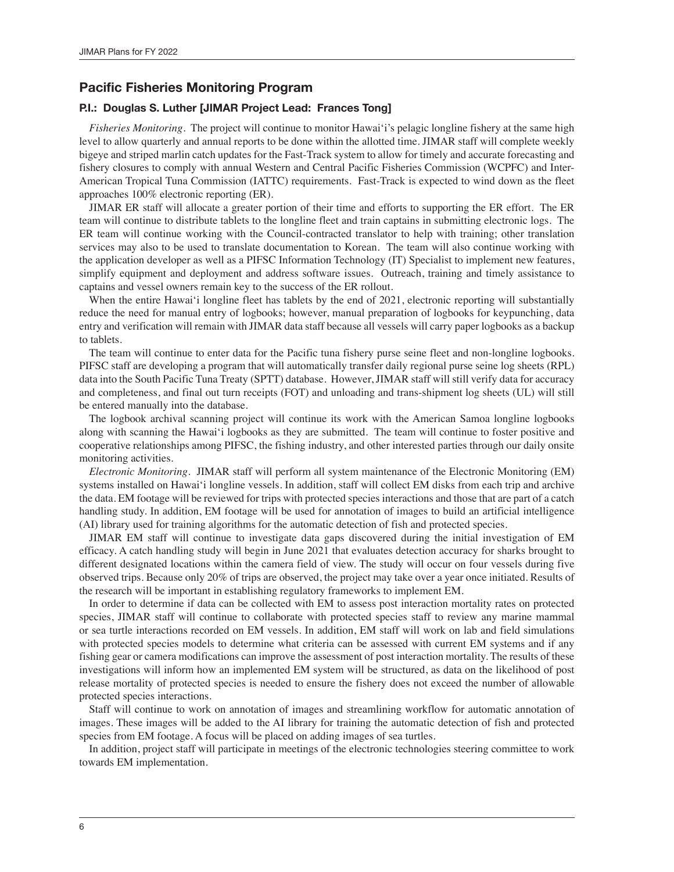## **Pacific Fisheries Monitoring Program**

#### **P.I.: Douglas S. Luther [JIMAR Project Lead: Frances Tong]**

*Fisheries Monitoring.* The project will continue to monitor Hawai'i's pelagic longline fishery at the same high level to allow quarterly and annual reports to be done within the allotted time. JIMAR staff will complete weekly bigeye and striped marlin catch updates for the Fast-Track system to allow for timely and accurate forecasting and fishery closures to comply with annual Western and Central Pacific Fisheries Commission (WCPFC) and Inter-American Tropical Tuna Commission (IATTC) requirements. Fast-Track is expected to wind down as the fleet approaches 100% electronic reporting (ER).

JIMAR ER staff will allocate a greater portion of their time and efforts to supporting the ER effort. The ER team will continue to distribute tablets to the longline fleet and train captains in submitting electronic logs. The ER team will continue working with the Council-contracted translator to help with training; other translation services may also to be used to translate documentation to Korean. The team will also continue working with the application developer as well as a PIFSC Information Technology (IT) Specialist to implement new features, simplify equipment and deployment and address software issues. Outreach, training and timely assistance to captains and vessel owners remain key to the success of the ER rollout.

When the entire Hawai'i longline fleet has tablets by the end of 2021, electronic reporting will substantially reduce the need for manual entry of logbooks; however, manual preparation of logbooks for keypunching, data entry and verification will remain with JIMAR data staff because all vessels will carry paper logbooks as a backup to tablets.

The team will continue to enter data for the Pacific tuna fishery purse seine fleet and non-longline logbooks. PIFSC staff are developing a program that will automatically transfer daily regional purse seine log sheets (RPL) data into the South Pacific Tuna Treaty (SPTT) database. However, JIMAR staff will still verify data for accuracy and completeness, and final out turn receipts (FOT) and unloading and trans-shipment log sheets (UL) will still be entered manually into the database.

The logbook archival scanning project will continue its work with the American Samoa longline logbooks along with scanning the Hawai'i logbooks as they are submitted. The team will continue to foster positive and cooperative relationships among PIFSC, the fishing industry, and other interested parties through our daily onsite monitoring activities.

*Electronic Monitoring.* JIMAR staff will perform all system maintenance of the Electronic Monitoring (EM) systems installed on Hawai'i longline vessels. In addition, staff will collect EM disks from each trip and archive the data. EM footage will be reviewed for trips with protected species interactions and those that are part of a catch handling study. In addition, EM footage will be used for annotation of images to build an artificial intelligence (AI) library used for training algorithms for the automatic detection of fish and protected species.

JIMAR EM staff will continue to investigate data gaps discovered during the initial investigation of EM efficacy. A catch handling study will begin in June 2021 that evaluates detection accuracy for sharks brought to different designated locations within the camera field of view. The study will occur on four vessels during five observed trips. Because only 20% of trips are observed, the project may take over a year once initiated. Results of the research will be important in establishing regulatory frameworks to implement EM.

In order to determine if data can be collected with EM to assess post interaction mortality rates on protected species, JIMAR staff will continue to collaborate with protected species staff to review any marine mammal or sea turtle interactions recorded on EM vessels. In addition, EM staff will work on lab and field simulations with protected species models to determine what criteria can be assessed with current EM systems and if any fishing gear or camera modifications can improve the assessment of post interaction mortality. The results of these investigations will inform how an implemented EM system will be structured, as data on the likelihood of post release mortality of protected species is needed to ensure the fishery does not exceed the number of allowable protected species interactions.

Staff will continue to work on annotation of images and streamlining workflow for automatic annotation of images. These images will be added to the AI library for training the automatic detection of fish and protected species from EM footage. A focus will be placed on adding images of sea turtles.

In addition, project staff will participate in meetings of the electronic technologies steering committee to work towards EM implementation.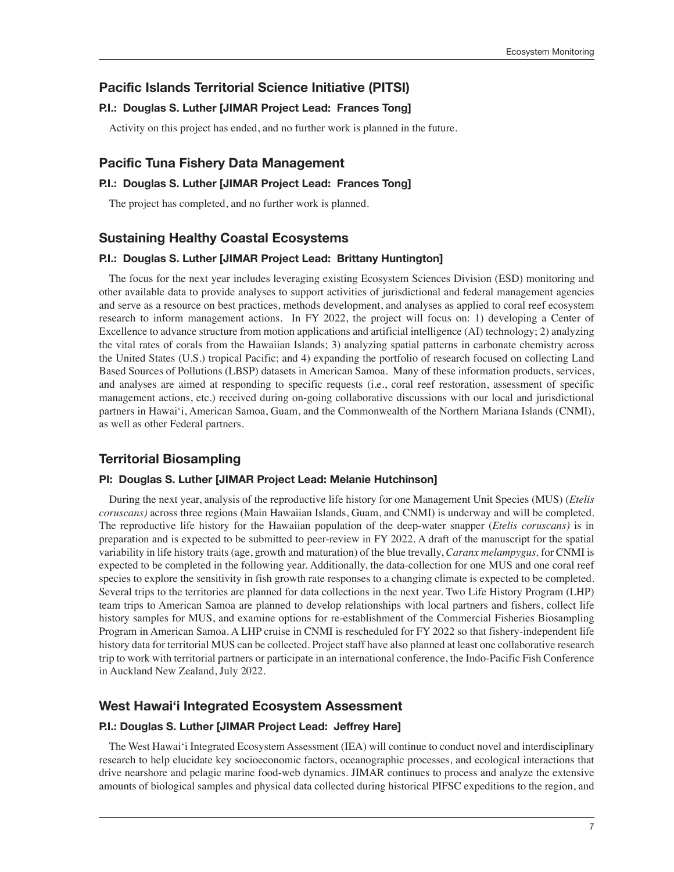## **Pacific Islands Territorial Science Initiative (PITSI)**

### **P.I.: Douglas S. Luther [JIMAR Project Lead: Frances Tong]**

Activity on this project has ended, and no further work is planned in the future.

#### **Pacific Tuna Fishery Data Management**

#### **P.I.: Douglas S. Luther [JIMAR Project Lead: Frances Tong]**

The project has completed, and no further work is planned.

#### **Sustaining Healthy Coastal Ecosystems**

#### **P.I.: Douglas S. Luther [JIMAR Project Lead: Brittany Huntington]**

The focus for the next year includes leveraging existing Ecosystem Sciences Division (ESD) monitoring and other available data to provide analyses to support activities of jurisdictional and federal management agencies and serve as a resource on best practices, methods development, and analyses as applied to coral reef ecosystem research to inform management actions. In FY 2022, the project will focus on: 1) developing a Center of Excellence to advance structure from motion applications and artificial intelligence (AI) technology; 2) analyzing the vital rates of corals from the Hawaiian Islands; 3) analyzing spatial patterns in carbonate chemistry across the United States (U.S.) tropical Pacific; and 4) expanding the portfolio of research focused on collecting Land Based Sources of Pollutions (LBSP) datasets in American Samoa. Many of these information products, services, and analyses are aimed at responding to specific requests (i.e., coral reef restoration, assessment of specific management actions, etc.) received during on-going collaborative discussions with our local and jurisdictional partners in Hawai'i, American Samoa, Guam, and the Commonwealth of the Northern Mariana Islands (CNMI), as well as other Federal partners.

#### **Territorial Biosampling**

#### **PI: Douglas S. Luther [JIMAR Project Lead: Melanie Hutchinson]**

During the next year, analysis of the reproductive life history for one Management Unit Species (MUS) (*Etelis coruscans)* across three regions (Main Hawaiian Islands, Guam, and CNMI) is underway and will be completed. The reproductive life history for the Hawaiian population of the deep-water snapper (*Etelis coruscans)* is in preparation and is expected to be submitted to peer-review in FY 2022. A draft of the manuscript for the spatial variability in life history traits (age, growth and maturation) of the blue trevally, *Caranx melampygus,* for CNMI is expected to be completed in the following year. Additionally, the data-collection for one MUS and one coral reef species to explore the sensitivity in fish growth rate responses to a changing climate is expected to be completed. Several trips to the territories are planned for data collections in the next year. Two Life History Program (LHP) team trips to American Samoa are planned to develop relationships with local partners and fishers, collect life history samples for MUS, and examine options for re-establishment of the Commercial Fisheries Biosampling Program in American Samoa. A LHP cruise in CNMI is rescheduled for FY 2022 so that fishery-independent life history data for territorial MUS can be collected. Project staff have also planned at least one collaborative research trip to work with territorial partners or participate in an international conference, the Indo-Pacific Fish Conference in Auckland New Zealand, July 2022.

#### **West Hawai'i Integrated Ecosystem Assessment**

#### **P.I.: Douglas S. Luther [JIMAR Project Lead: Jeffrey Hare]**

The West Hawai'i Integrated Ecosystem Assessment (IEA) will continue to conduct novel and interdisciplinary research to help elucidate key socioeconomic factors, oceanographic processes, and ecological interactions that drive nearshore and pelagic marine food-web dynamics. JIMAR continues to process and analyze the extensive amounts of biological samples and physical data collected during historical PIFSC expeditions to the region, and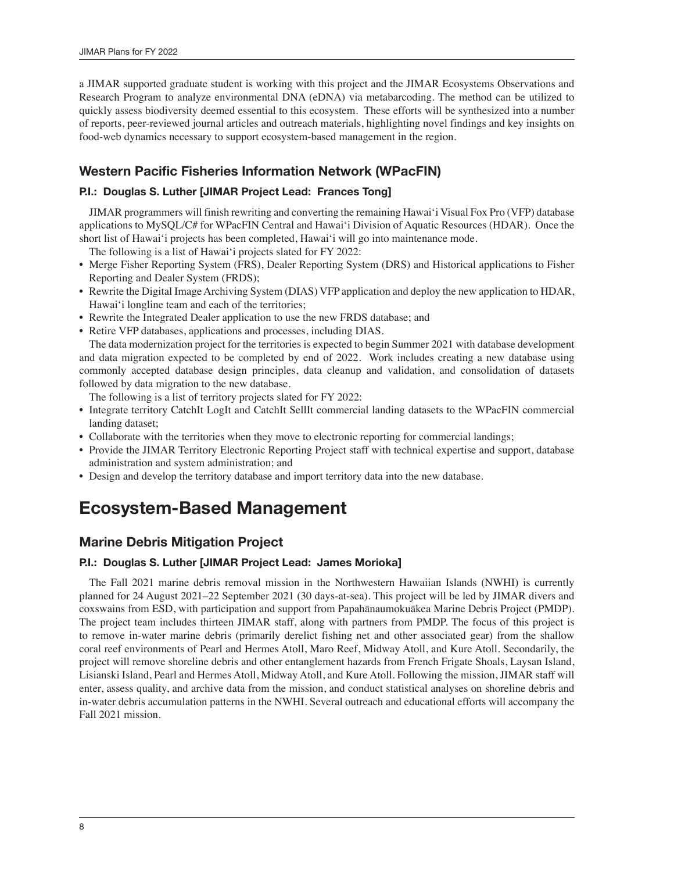a JIMAR supported graduate student is working with this project and the JIMAR Ecosystems Observations and Research Program to analyze environmental DNA (eDNA) via metabarcoding. The method can be utilized to quickly assess biodiversity deemed essential to this ecosystem. These efforts will be synthesized into a number of reports, peer-reviewed journal articles and outreach materials, highlighting novel findings and key insights on food-web dynamics necessary to support ecosystem-based management in the region.

## **Western Pacific Fisheries Information Network (WPacFIN)**

### **P.I.: Douglas S. Luther [JIMAR Project Lead: Frances Tong]**

JIMAR programmers will finish rewriting and converting the remaining Hawai'i Visual Fox Pro (VFP) database applications to MySQL/C# for WPacFIN Central and Hawai'i Division of Aquatic Resources (HDAR). Once the short list of Hawai'i projects has been completed, Hawai'i will go into maintenance mode.

The following is a list of Hawai'i projects slated for FY 2022:

- Merge Fisher Reporting System (FRS), Dealer Reporting System (DRS) and Historical applications to Fisher Reporting and Dealer System (FRDS);
- Rewrite the Digital Image Archiving System (DIAS) VFP application and deploy the new application to HDAR, Hawai'i longline team and each of the territories;
- Rewrite the Integrated Dealer application to use the new FRDS database; and
- Retire VFP databases, applications and processes, including DIAS.

The data modernization project for the territories is expected to begin Summer 2021 with database development and data migration expected to be completed by end of 2022. Work includes creating a new database using commonly accepted database design principles, data cleanup and validation, and consolidation of datasets followed by data migration to the new database.

The following is a list of territory projects slated for FY 2022:

- Integrate territory CatchIt LogIt and CatchIt SellIt commercial landing datasets to the WPacFIN commercial landing dataset;
- Collaborate with the territories when they move to electronic reporting for commercial landings;
- Provide the JIMAR Territory Electronic Reporting Project staff with technical expertise and support, database administration and system administration; and
- Design and develop the territory database and import territory data into the new database.

## **Ecosystem-Based Management**

## **Marine Debris Mitigation Project**

#### **P.I.: Douglas S. Luther [JIMAR Project Lead: James Morioka]**

The Fall 2021 marine debris removal mission in the Northwestern Hawaiian Islands (NWHI) is currently planned for 24 August 2021–22 September 2021 (30 days-at-sea). This project will be led by JIMAR divers and coxswains from ESD, with participation and support from Papahānaumokuākea Marine Debris Project (PMDP). The project team includes thirteen JIMAR staff, along with partners from PMDP. The focus of this project is to remove in-water marine debris (primarily derelict fishing net and other associated gear) from the shallow coral reef environments of Pearl and Hermes Atoll, Maro Reef, Midway Atoll, and Kure Atoll. Secondarily, the project will remove shoreline debris and other entanglement hazards from French Frigate Shoals, Laysan Island, Lisianski Island, Pearl and Hermes Atoll, Midway Atoll, and Kure Atoll. Following the mission, JIMAR staff will enter, assess quality, and archive data from the mission, and conduct statistical analyses on shoreline debris and in-water debris accumulation patterns in the NWHI. Several outreach and educational efforts will accompany the Fall 2021 mission.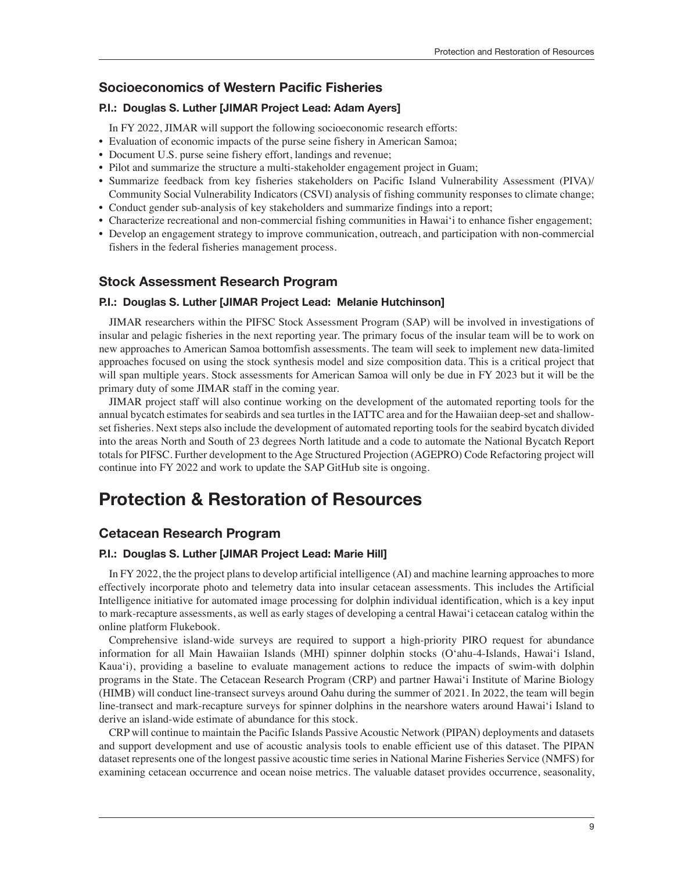## **Socioeconomics of Western Pacific Fisheries**

### **P.I.: Douglas S. Luther [JIMAR Project Lead: Adam Ayers]**

In FY 2022, JIMAR will support the following socioeconomic research efforts:

- Evaluation of economic impacts of the purse seine fishery in American Samoa;
- Document U.S. purse seine fishery effort, landings and revenue;
- Pilot and summarize the structure a multi-stakeholder engagement project in Guam;
- Summarize feedback from key fisheries stakeholders on Pacific Island Vulnerability Assessment (PIVA)/ Community Social Vulnerability Indicators (CSVI) analysis of fishing community responses to climate change;
- Conduct gender sub-analysis of key stakeholders and summarize findings into a report;
- Characterize recreational and non-commercial fishing communities in Hawai'i to enhance fisher engagement;
- Develop an engagement strategy to improve communication, outreach, and participation with non-commercial fishers in the federal fisheries management process.

## **Stock Assessment Research Program**

#### **P.I.: Douglas S. Luther [JIMAR Project Lead: Melanie Hutchinson]**

JIMAR researchers within the PIFSC Stock Assessment Program (SAP) will be involved in investigations of insular and pelagic fisheries in the next reporting year. The primary focus of the insular team will be to work on new approaches to American Samoa bottomfish assessments. The team will seek to implement new data-limited approaches focused on using the stock synthesis model and size composition data. This is a critical project that will span multiple years. Stock assessments for American Samoa will only be due in FY 2023 but it will be the primary duty of some JIMAR staff in the coming year.

JIMAR project staff will also continue working on the development of the automated reporting tools for the annual bycatch estimates for seabirds and sea turtles in the IATTC area and for the Hawaiian deep-set and shallowset fisheries. Next steps also include the development of automated reporting tools for the seabird bycatch divided into the areas North and South of 23 degrees North latitude and a code to automate the National Bycatch Report totals for PIFSC. Further development to the Age Structured Projection (AGEPRO) Code Refactoring project will continue into FY 2022 and work to update the SAP GitHub site is ongoing.

## **Protection & Restoration of Resources**

## **Cetacean Research Program**

#### **P.I.: Douglas S. Luther [JIMAR Project Lead: Marie Hill]**

In FY 2022, the the project plans to develop artificial intelligence (AI) and machine learning approaches to more effectively incorporate photo and telemetry data into insular cetacean assessments. This includes the Artificial Intelligence initiative for automated image processing for dolphin individual identification, which is a key input to mark-recapture assessments, as well as early stages of developing a central Hawai'i cetacean catalog within the online platform Flukebook.

Comprehensive island-wide surveys are required to support a high-priority PIRO request for abundance information for all Main Hawaiian Islands (MHI) spinner dolphin stocks (Oʻahu-4-Islands, Hawai'i Island, Kauaʻi), providing a baseline to evaluate management actions to reduce the impacts of swim-with dolphin programs in the State. The Cetacean Research Program (CRP) and partner Hawai'i Institute of Marine Biology (HIMB) will conduct line-transect surveys around Oahu during the summer of 2021. In 2022, the team will begin line-transect and mark-recapture surveys for spinner dolphins in the nearshore waters around Hawai'i Island to derive an island-wide estimate of abundance for this stock.

CRP will continue to maintain the Pacific Islands Passive Acoustic Network (PIPAN) deployments and datasets and support development and use of acoustic analysis tools to enable efficient use of this dataset. The PIPAN dataset represents one of the longest passive acoustic time series in National Marine Fisheries Service (NMFS) for examining cetacean occurrence and ocean noise metrics. The valuable dataset provides occurrence, seasonality,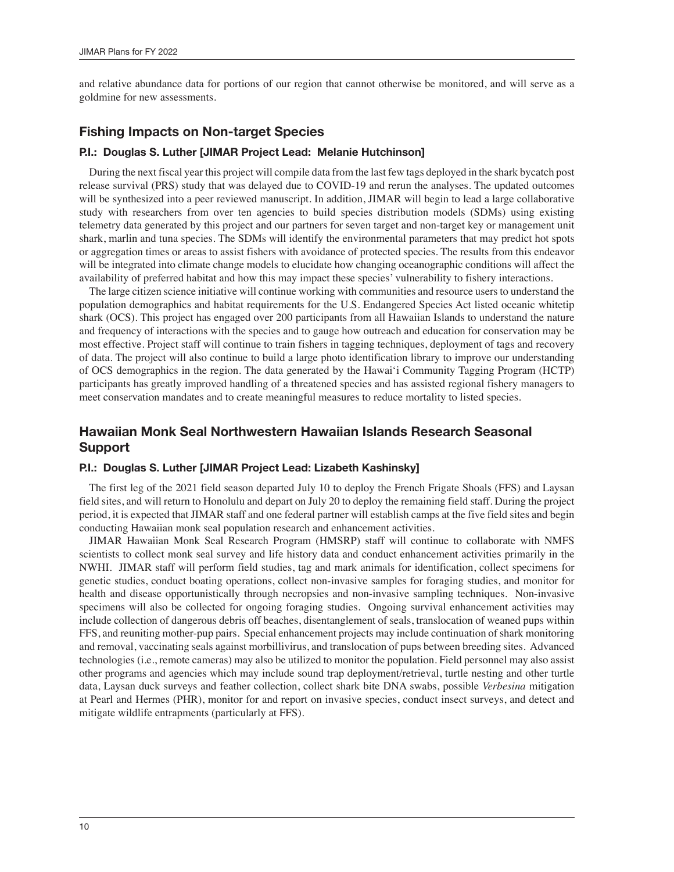and relative abundance data for portions of our region that cannot otherwise be monitored, and will serve as a goldmine for new assessments.

## **Fishing Impacts on Non-target Species**

#### **P.I.: Douglas S. Luther [JIMAR Project Lead: Melanie Hutchinson]**

During the next fiscal year this project will compile data from the last few tags deployed in the shark bycatch post release survival (PRS) study that was delayed due to COVID-19 and rerun the analyses. The updated outcomes will be synthesized into a peer reviewed manuscript. In addition, JIMAR will begin to lead a large collaborative study with researchers from over ten agencies to build species distribution models (SDMs) using existing telemetry data generated by this project and our partners for seven target and non-target key or management unit shark, marlin and tuna species. The SDMs will identify the environmental parameters that may predict hot spots or aggregation times or areas to assist fishers with avoidance of protected species. The results from this endeavor will be integrated into climate change models to elucidate how changing oceanographic conditions will affect the availability of preferred habitat and how this may impact these species' vulnerability to fishery interactions.

The large citizen science initiative will continue working with communities and resource users to understand the population demographics and habitat requirements for the U.S. Endangered Species Act listed oceanic whitetip shark (OCS). This project has engaged over 200 participants from all Hawaiian Islands to understand the nature and frequency of interactions with the species and to gauge how outreach and education for conservation may be most effective. Project staff will continue to train fishers in tagging techniques, deployment of tags and recovery of data. The project will also continue to build a large photo identification library to improve our understanding of OCS demographics in the region. The data generated by the Hawai'i Community Tagging Program (HCTP) participants has greatly improved handling of a threatened species and has assisted regional fishery managers to meet conservation mandates and to create meaningful measures to reduce mortality to listed species.

## **Hawaiian Monk Seal Northwestern Hawaiian Islands Research Seasonal Support**

#### **P.I.: Douglas S. Luther [JIMAR Project Lead: Lizabeth Kashinsky]**

The first leg of the 2021 field season departed July 10 to deploy the French Frigate Shoals (FFS) and Laysan field sites, and will return to Honolulu and depart on July 20 to deploy the remaining field staff. During the project period, it is expected that JIMAR staff and one federal partner will establish camps at the five field sites and begin conducting Hawaiian monk seal population research and enhancement activities.

JIMAR Hawaiian Monk Seal Research Program (HMSRP) staff will continue to collaborate with NMFS scientists to collect monk seal survey and life history data and conduct enhancement activities primarily in the NWHI. JIMAR staff will perform field studies, tag and mark animals for identification, collect specimens for genetic studies, conduct boating operations, collect non-invasive samples for foraging studies, and monitor for health and disease opportunistically through necropsies and non-invasive sampling techniques. Non-invasive specimens will also be collected for ongoing foraging studies. Ongoing survival enhancement activities may include collection of dangerous debris off beaches, disentanglement of seals, translocation of weaned pups within FFS, and reuniting mother-pup pairs. Special enhancement projects may include continuation of shark monitoring and removal, vaccinating seals against morbillivirus, and translocation of pups between breeding sites. Advanced technologies (i.e., remote cameras) may also be utilized to monitor the population. Field personnel may also assist other programs and agencies which may include sound trap deployment/retrieval, turtle nesting and other turtle data, Laysan duck surveys and feather collection, collect shark bite DNA swabs, possible *Verbesina* mitigation at Pearl and Hermes (PHR), monitor for and report on invasive species, conduct insect surveys, and detect and mitigate wildlife entrapments (particularly at FFS).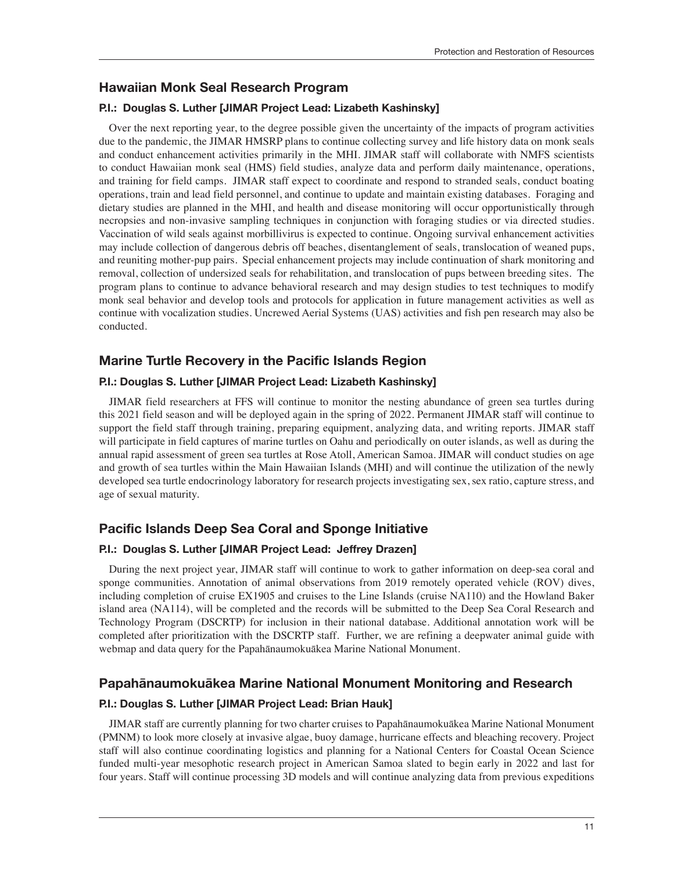## **Hawaiian Monk Seal Research Program**

#### **P.I.: Douglas S. Luther [JIMAR Project Lead: Lizabeth Kashinsky]**

Over the next reporting year, to the degree possible given the uncertainty of the impacts of program activities due to the pandemic, the JIMAR HMSRP plans to continue collecting survey and life history data on monk seals and conduct enhancement activities primarily in the MHI. JIMAR staff will collaborate with NMFS scientists to conduct Hawaiian monk seal (HMS) field studies, analyze data and perform daily maintenance, operations, and training for field camps. JIMAR staff expect to coordinate and respond to stranded seals, conduct boating operations, train and lead field personnel, and continue to update and maintain existing databases. Foraging and dietary studies are planned in the MHI, and health and disease monitoring will occur opportunistically through necropsies and non-invasive sampling techniques in conjunction with foraging studies or via directed studies. Vaccination of wild seals against morbillivirus is expected to continue. Ongoing survival enhancement activities may include collection of dangerous debris off beaches, disentanglement of seals, translocation of weaned pups, and reuniting mother-pup pairs. Special enhancement projects may include continuation of shark monitoring and removal, collection of undersized seals for rehabilitation, and translocation of pups between breeding sites. The program plans to continue to advance behavioral research and may design studies to test techniques to modify monk seal behavior and develop tools and protocols for application in future management activities as well as continue with vocalization studies. Uncrewed Aerial Systems (UAS) activities and fish pen research may also be conducted.

## **Marine Turtle Recovery in the Pacific Islands Region**

#### **P.I.: Douglas S. Luther [JIMAR Project Lead: Lizabeth Kashinsky]**

JIMAR field researchers at FFS will continue to monitor the nesting abundance of green sea turtles during this 2021 field season and will be deployed again in the spring of 2022. Permanent JIMAR staff will continue to support the field staff through training, preparing equipment, analyzing data, and writing reports. JIMAR staff will participate in field captures of marine turtles on Oahu and periodically on outer islands, as well as during the annual rapid assessment of green sea turtles at Rose Atoll, American Samoa. JIMAR will conduct studies on age and growth of sea turtles within the Main Hawaiian Islands (MHI) and will continue the utilization of the newly developed sea turtle endocrinology laboratory for research projects investigating sex, sex ratio, capture stress, and age of sexual maturity.

## **Pacific Islands Deep Sea Coral and Sponge Initiative**

#### **P.I.: Douglas S. Luther [JIMAR Project Lead: Jeffrey Drazen]**

During the next project year, JIMAR staff will continue to work to gather information on deep-sea coral and sponge communities. Annotation of animal observations from 2019 remotely operated vehicle (ROV) dives, including completion of cruise EX1905 and cruises to the Line Islands (cruise NA110) and the Howland Baker island area (NA114), will be completed and the records will be submitted to the Deep Sea Coral Research and Technology Program (DSCRTP) for inclusion in their national database. Additional annotation work will be completed after prioritization with the DSCRTP staff. Further, we are refining a deepwater animal guide with webmap and data query for the Papahānaumokuākea Marine National Monument.

## **Papahānaumokuākea Marine National Monument Monitoring and Research**

#### **P.I.: Douglas S. Luther [JIMAR Project Lead: Brian Hauk]**

JIMAR staff are currently planning for two charter cruises to Papahānaumokuākea Marine National Monument (PMNM) to look more closely at invasive algae, buoy damage, hurricane effects and bleaching recovery. Project staff will also continue coordinating logistics and planning for a National Centers for Coastal Ocean Science funded multi-year mesophotic research project in American Samoa slated to begin early in 2022 and last for four years. Staff will continue processing 3D models and will continue analyzing data from previous expeditions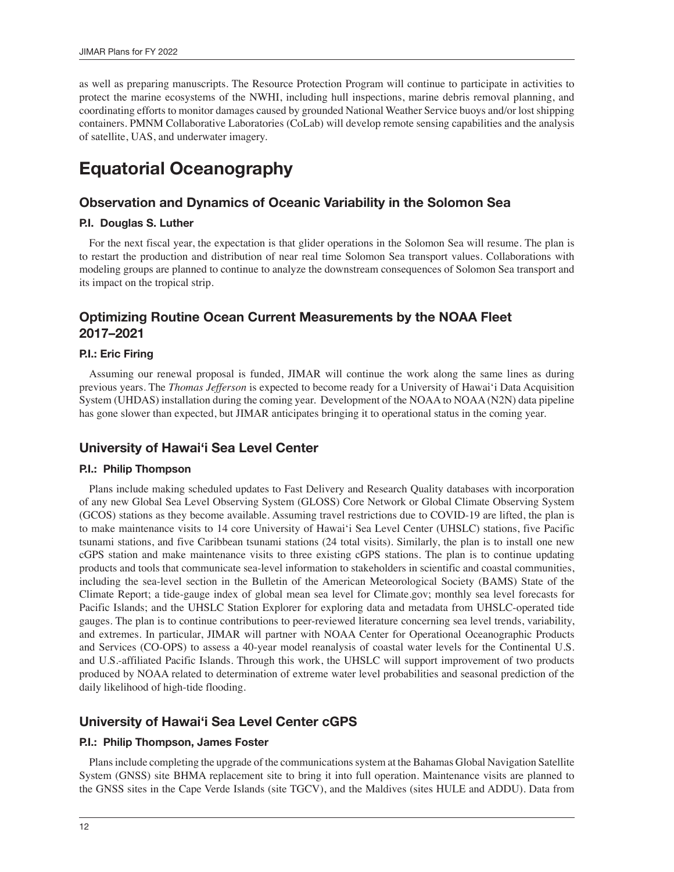as well as preparing manuscripts. The Resource Protection Program will continue to participate in activities to protect the marine ecosystems of the NWHI, including hull inspections, marine debris removal planning, and coordinating efforts to monitor damages caused by grounded National Weather Service buoys and/or lost shipping containers. PMNM Collaborative Laboratories (CoLab) will develop remote sensing capabilities and the analysis of satellite, UAS, and underwater imagery.

## **Equatorial Oceanography**

## **Observation and Dynamics of Oceanic Variability in the Solomon Sea**

#### **P.I. Douglas S. Luther**

For the next fiscal year, the expectation is that glider operations in the Solomon Sea will resume. The plan is to restart the production and distribution of near real time Solomon Sea transport values. Collaborations with modeling groups are planned to continue to analyze the downstream consequences of Solomon Sea transport and its impact on the tropical strip.

## **Optimizing Routine Ocean Current Measurements by the NOAA Fleet 2017–2021**

#### **P.I.: Eric Firing**

Assuming our renewal proposal is funded, JIMAR will continue the work along the same lines as during previous years. The *Thomas Jefferson* is expected to become ready for a University of Hawai'i Data Acquisition System (UHDAS) installation during the coming year. Development of the NOAA to NOAA (N2N) data pipeline has gone slower than expected, but JIMAR anticipates bringing it to operational status in the coming year.

## **University of Hawai'i Sea Level Center**

#### **P.I.: Philip Thompson**

Plans include making scheduled updates to Fast Delivery and Research Quality databases with incorporation of any new Global Sea Level Observing System (GLOSS) Core Network or Global Climate Observing System (GCOS) stations as they become available. Assuming travel restrictions due to COVID-19 are lifted, the plan is to make maintenance visits to 14 core University of Hawai'i Sea Level Center (UHSLC) stations, five Pacific tsunami stations, and five Caribbean tsunami stations (24 total visits). Similarly, the plan is to install one new cGPS station and make maintenance visits to three existing cGPS stations. The plan is to continue updating products and tools that communicate sea-level information to stakeholders in scientific and coastal communities, including the sea-level section in the Bulletin of the American Meteorological Society (BAMS) State of the Climate Report; a tide-gauge index of global mean sea level for Climate.gov; monthly sea level forecasts for Pacific Islands; and the UHSLC Station Explorer for exploring data and metadata from UHSLC-operated tide gauges. The plan is to continue contributions to peer-reviewed literature concerning sea level trends, variability, and extremes. In particular, JIMAR will partner with NOAA Center for Operational Oceanographic Products and Services (CO-OPS) to assess a 40-year model reanalysis of coastal water levels for the Continental U.S. and U.S.-affiliated Pacific Islands. Through this work, the UHSLC will support improvement of two products produced by NOAA related to determination of extreme water level probabilities and seasonal prediction of the daily likelihood of high-tide flooding.

## **University of Hawai'i Sea Level Center cGPS**

#### **P.I.: Philip Thompson, James Foster**

Plans include completing the upgrade of the communications system at the Bahamas Global Navigation Satellite System (GNSS) site BHMA replacement site to bring it into full operation. Maintenance visits are planned to the GNSS sites in the Cape Verde Islands (site TGCV), and the Maldives (sites HULE and ADDU). Data from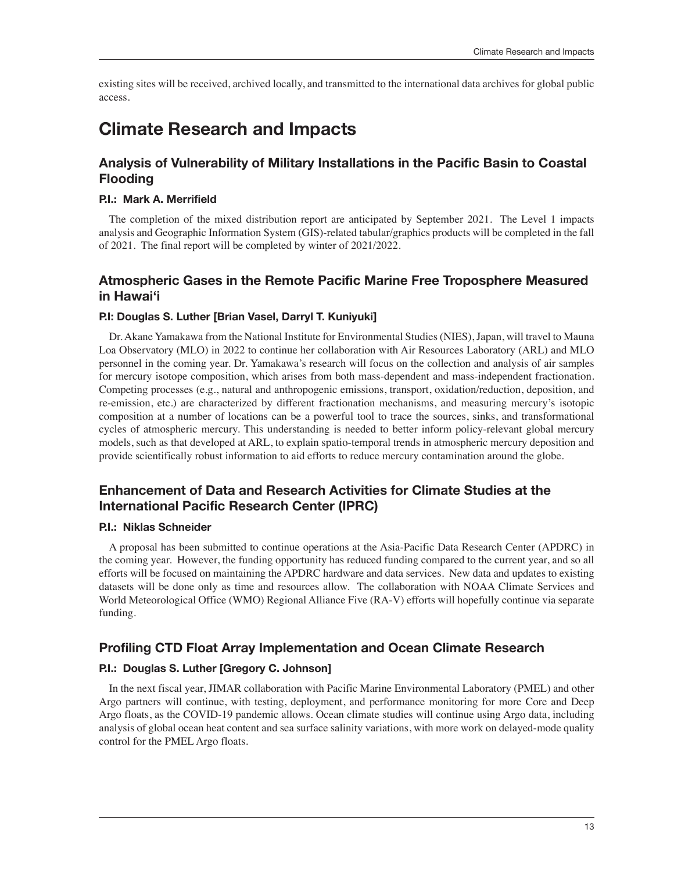existing sites will be received, archived locally, and transmitted to the international data archives for global public access.

## **Climate Research and Impacts**

## **Analysis of Vulnerability of Military Installations in the Pacific Basin to Coastal Flooding**

#### **P.I.: Mark A. Merrifield**

The completion of the mixed distribution report are anticipated by September 2021. The Level 1 impacts analysis and Geographic Information System (GIS)-related tabular/graphics products will be completed in the fall of 2021. The final report will be completed by winter of 2021/2022.

## **Atmospheric Gases in the Remote Pacific Marine Free Troposphere Measured in Hawai'i**

#### **P.I: Douglas S. Luther [Brian Vasel, Darryl T. Kuniyuki]**

Dr. Akane Yamakawa from the National Institute for Environmental Studies (NIES), Japan, will travel to Mauna Loa Observatory (MLO) in 2022 to continue her collaboration with Air Resources Laboratory (ARL) and MLO personnel in the coming year. Dr. Yamakawa's research will focus on the collection and analysis of air samples for mercury isotope composition, which arises from both mass-dependent and mass-independent fractionation. Competing processes (e.g., natural and anthropogenic emissions, transport, oxidation/reduction, deposition, and re-emission, etc.) are characterized by different fractionation mechanisms, and measuring mercury's isotopic composition at a number of locations can be a powerful tool to trace the sources, sinks, and transformational cycles of atmospheric mercury. This understanding is needed to better inform policy-relevant global mercury models, such as that developed at ARL, to explain spatio-temporal trends in atmospheric mercury deposition and provide scientifically robust information to aid efforts to reduce mercury contamination around the globe.

## **Enhancement of Data and Research Activities for Climate Studies at the International Pacific Research Center (IPRC)**

#### **P.I.: Niklas Schneider**

A proposal has been submitted to continue operations at the Asia-Pacific Data Research Center (APDRC) in the coming year. However, the funding opportunity has reduced funding compared to the current year, and so all efforts will be focused on maintaining the APDRC hardware and data services. New data and updates to existing datasets will be done only as time and resources allow. The collaboration with NOAA Climate Services and World Meteorological Office (WMO) Regional Alliance Five (RA-V) efforts will hopefully continue via separate funding.

## **Profiling CTD Float Array Implementation and Ocean Climate Research**

#### **P.I.: Douglas S. Luther [Gregory C. Johnson]**

In the next fiscal year, JIMAR collaboration with Pacific Marine Environmental Laboratory (PMEL) and other Argo partners will continue, with testing, deployment, and performance monitoring for more Core and Deep Argo floats, as the COVID-19 pandemic allows. Ocean climate studies will continue using Argo data, including analysis of global ocean heat content and sea surface salinity variations, with more work on delayed-mode quality control for the PMEL Argo floats.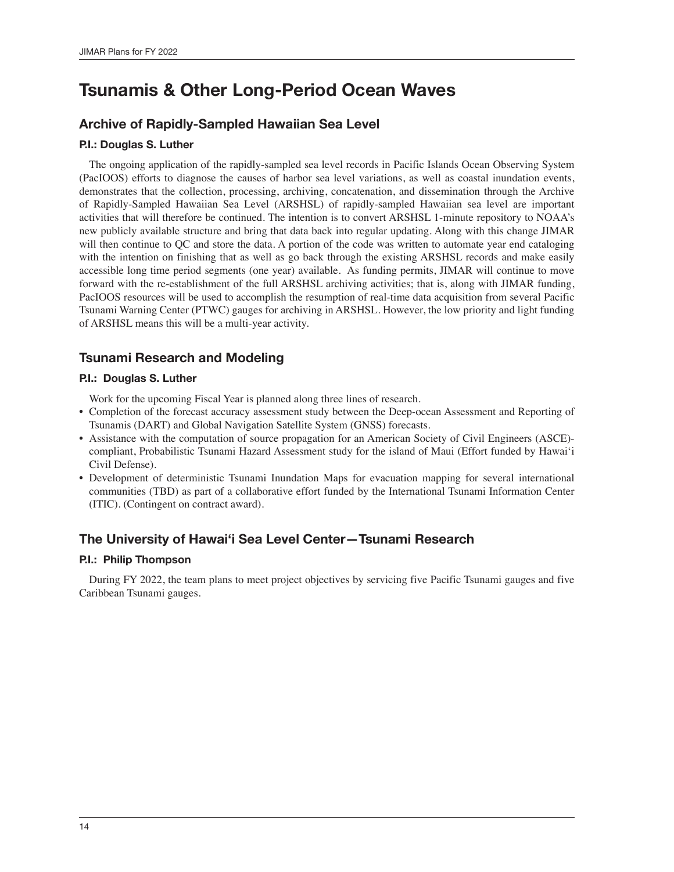## **Tsunamis & Other Long-Period Ocean Waves**

## **Archive of Rapidly-Sampled Hawaiian Sea Level**

## **P.I.: Douglas S. Luther**

The ongoing application of the rapidly-sampled sea level records in Pacific Islands Ocean Observing System (PacIOOS) efforts to diagnose the causes of harbor sea level variations, as well as coastal inundation events, demonstrates that the collection, processing, archiving, concatenation, and dissemination through the Archive of Rapidly-Sampled Hawaiian Sea Level (ARSHSL) of rapidly-sampled Hawaiian sea level are important activities that will therefore be continued. The intention is to convert ARSHSL 1-minute repository to NOAA's new publicly available structure and bring that data back into regular updating. Along with this change JIMAR will then continue to QC and store the data. A portion of the code was written to automate year end cataloging with the intention on finishing that as well as go back through the existing ARSHSL records and make easily accessible long time period segments (one year) available. As funding permits, JIMAR will continue to move forward with the re-establishment of the full ARSHSL archiving activities; that is, along with JIMAR funding, PacIOOS resources will be used to accomplish the resumption of real-time data acquisition from several Pacific Tsunami Warning Center (PTWC) gauges for archiving in ARSHSL. However, the low priority and light funding of ARSHSL means this will be a multi-year activity.

## **Tsunami Research and Modeling**

## **P.I.: Douglas S. Luther**

Work for the upcoming Fiscal Year is planned along three lines of research.

- Completion of the forecast accuracy assessment study between the Deep-ocean Assessment and Reporting of Tsunamis (DART) and Global Navigation Satellite System (GNSS) forecasts.
- Assistance with the computation of source propagation for an American Society of Civil Engineers (ASCE) compliant, Probabilistic Tsunami Hazard Assessment study for the island of Maui (Effort funded by Hawai'i Civil Defense).
- Development of deterministic Tsunami Inundation Maps for evacuation mapping for several international communities (TBD) as part of a collaborative effort funded by the International Tsunami Information Center (ITIC). (Contingent on contract award).

## **The University of Hawai'i Sea Level Center—Tsunami Research**

## **P.I.: Philip Thompson**

During FY 2022, the team plans to meet project objectives by servicing five Pacific Tsunami gauges and five Caribbean Tsunami gauges.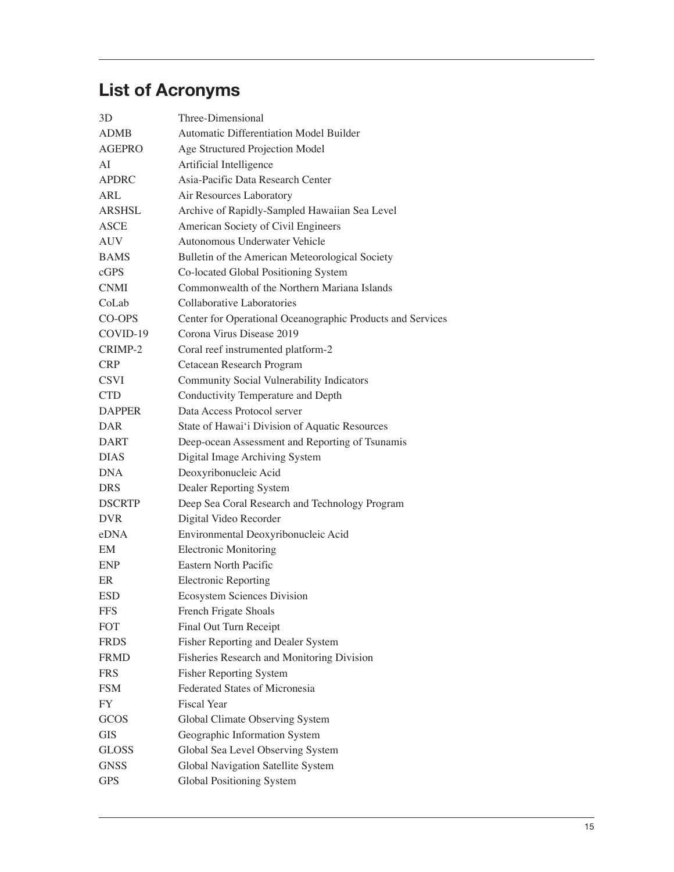# **List of Acronyms**

| 3D            | Three-Dimensional                                          |
|---------------|------------------------------------------------------------|
| <b>ADMB</b>   | <b>Automatic Differentiation Model Builder</b>             |
| <b>AGEPRO</b> | Age Structured Projection Model                            |
| AI            | Artificial Intelligence                                    |
| <b>APDRC</b>  | Asia-Pacific Data Research Center                          |
| ARL           | Air Resources Laboratory                                   |
| <b>ARSHSL</b> | Archive of Rapidly-Sampled Hawaiian Sea Level              |
| <b>ASCE</b>   | American Society of Civil Engineers                        |
| <b>AUV</b>    | Autonomous Underwater Vehicle                              |
| <b>BAMS</b>   | Bulletin of the American Meteorological Society            |
| cGPS          | Co-located Global Positioning System                       |
| <b>CNMI</b>   | Commonwealth of the Northern Mariana Islands               |
| CoLab         | Collaborative Laboratories                                 |
| CO-OPS        | Center for Operational Oceanographic Products and Services |
| COVID-19      | Corona Virus Disease 2019                                  |
| CRIMP-2       | Coral reef instrumented platform-2                         |
| <b>CRP</b>    | Cetacean Research Program                                  |
| <b>CSVI</b>   | Community Social Vulnerability Indicators                  |
| <b>CTD</b>    | Conductivity Temperature and Depth                         |
| <b>DAPPER</b> | Data Access Protocol server                                |
| DAR           | State of Hawai'i Division of Aquatic Resources             |
| <b>DART</b>   | Deep-ocean Assessment and Reporting of Tsunamis            |
| <b>DIAS</b>   | Digital Image Archiving System                             |
| <b>DNA</b>    | Deoxyribonucleic Acid                                      |
| <b>DRS</b>    | Dealer Reporting System                                    |
| <b>DSCRTP</b> | Deep Sea Coral Research and Technology Program             |
| <b>DVR</b>    | Digital Video Recorder                                     |
| eDNA          | Environmental Deoxyribonucleic Acid                        |
| EМ            | <b>Electronic Monitoring</b>                               |
| <b>ENP</b>    | Eastern North Pacific                                      |
| ER            | <b>Electronic Reporting</b>                                |
| <b>ESD</b>    | <b>Ecosystem Sciences Division</b>                         |
| <b>FFS</b>    | French Frigate Shoals                                      |
| <b>FOT</b>    | Final Out Turn Receipt                                     |
| <b>FRDS</b>   | Fisher Reporting and Dealer System                         |
| <b>FRMD</b>   | Fisheries Research and Monitoring Division                 |
| <b>FRS</b>    | <b>Fisher Reporting System</b>                             |
| <b>FSM</b>    | Federated States of Micronesia                             |
| FY            | Fiscal Year                                                |
| <b>GCOS</b>   | Global Climate Observing System                            |
| GIS           | Geographic Information System                              |
| <b>GLOSS</b>  | Global Sea Level Observing System                          |
| <b>GNSS</b>   | Global Navigation Satellite System                         |
| <b>GPS</b>    | Global Positioning System                                  |
|               |                                                            |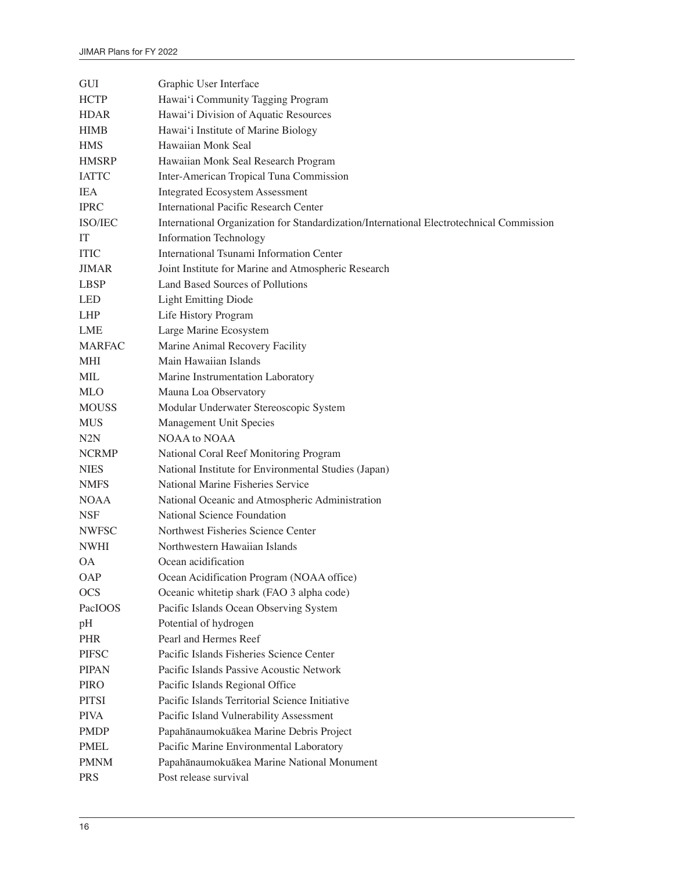| GUI           | Graphic User Interface                                                                   |
|---------------|------------------------------------------------------------------------------------------|
| <b>HCTP</b>   | Hawai'i Community Tagging Program                                                        |
| <b>HDAR</b>   | Hawai'i Division of Aquatic Resources                                                    |
| <b>HIMB</b>   | Hawai'i Institute of Marine Biology                                                      |
| <b>HMS</b>    | Hawaiian Monk Seal                                                                       |
| <b>HMSRP</b>  | Hawaiian Monk Seal Research Program                                                      |
| <b>IATTC</b>  | Inter-American Tropical Tuna Commission                                                  |
| <b>IEA</b>    | <b>Integrated Ecosystem Assessment</b>                                                   |
| <b>IPRC</b>   | <b>International Pacific Research Center</b>                                             |
| ISO/IEC       | International Organization for Standardization/International Electrotechnical Commission |
| IT            | <b>Information Technology</b>                                                            |
| <b>ITIC</b>   | International Tsunami Information Center                                                 |
| <b>JIMAR</b>  | Joint Institute for Marine and Atmospheric Research                                      |
| <b>LBSP</b>   | Land Based Sources of Pollutions                                                         |
| <b>LED</b>    | <b>Light Emitting Diode</b>                                                              |
| <b>LHP</b>    | Life History Program                                                                     |
| LME           | Large Marine Ecosystem                                                                   |
| <b>MARFAC</b> | Marine Animal Recovery Facility                                                          |
| <b>MHI</b>    | Main Hawaiian Islands                                                                    |
| MIL           | Marine Instrumentation Laboratory                                                        |
| <b>MLO</b>    | Mauna Loa Observatory                                                                    |
| <b>MOUSS</b>  | Modular Underwater Stereoscopic System                                                   |
| <b>MUS</b>    | Management Unit Species                                                                  |
| N2N           | NOAA to NOAA                                                                             |
| <b>NCRMP</b>  | National Coral Reef Monitoring Program                                                   |
| <b>NIES</b>   | National Institute for Environmental Studies (Japan)                                     |
| <b>NMFS</b>   | National Marine Fisheries Service                                                        |
| <b>NOAA</b>   | National Oceanic and Atmospheric Administration                                          |
| <b>NSF</b>    | National Science Foundation                                                              |
| <b>NWFSC</b>  | Northwest Fisheries Science Center                                                       |
| <b>NWHI</b>   | Northwestern Hawaiian Islands                                                            |
| ОA            | Ocean acidification                                                                      |
| <b>OAP</b>    | Ocean Acidification Program (NOAA office)                                                |
| <b>OCS</b>    | Oceanic whitetip shark (FAO 3 alpha code)                                                |
| PacIOOS       | Pacific Islands Ocean Observing System                                                   |
| pH            | Potential of hydrogen                                                                    |
| <b>PHR</b>    | Pearl and Hermes Reef                                                                    |
| <b>PIFSC</b>  | Pacific Islands Fisheries Science Center                                                 |
| <b>PIPAN</b>  | Pacific Islands Passive Acoustic Network                                                 |
| PIRO          | Pacific Islands Regional Office                                                          |
| <b>PITSI</b>  | Pacific Islands Territorial Science Initiative                                           |
| <b>PIVA</b>   | Pacific Island Vulnerability Assessment                                                  |
| <b>PMDP</b>   | Papahānaumokuākea Marine Debris Project                                                  |
| <b>PMEL</b>   | Pacific Marine Environmental Laboratory                                                  |
| <b>PMNM</b>   | Papahānaumokuākea Marine National Monument                                               |
| <b>PRS</b>    | Post release survival                                                                    |
|               |                                                                                          |